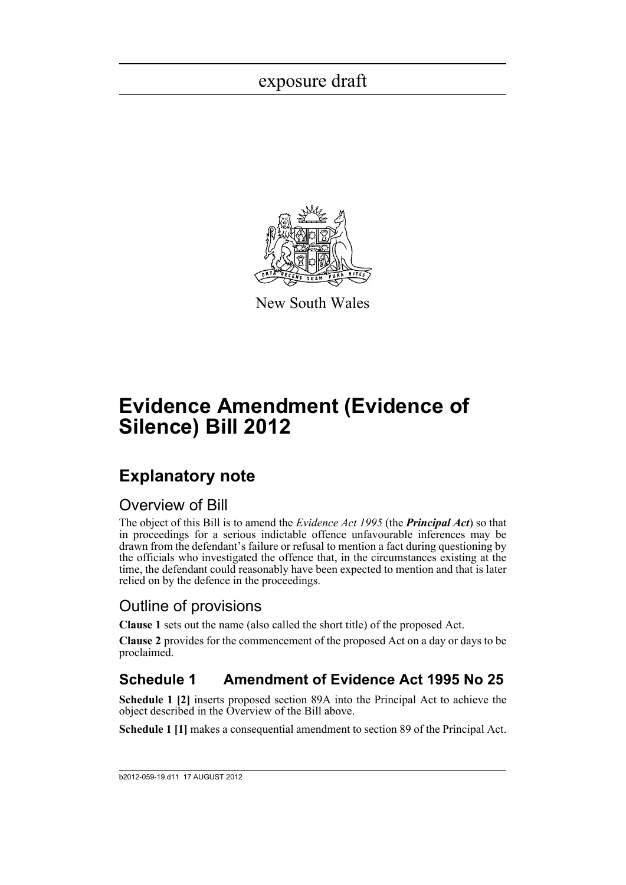

New South Wales

# **Evidence Amendment (Evidence of Silence) Bill 2012**

### **Explanatory note**

### Overview of Bill

The object of this Bill is to amend the *Evidence Act 1995* (the *Principal Act*) so that in proceedings for a serious indictable offence unfavourable inferences may be drawn from the defendant's failure or refusal to mention a fact during questioning by the officials who investigated the offence that, in the circumstances existing at the time, the defendant could reasonably have been expected to mention and that is later relied on by the defence in the proceedings.

### Outline of provisions

**Clause 1** sets out the name (also called the short title) of the proposed Act.

**Clause 2** provides for the commencement of the proposed Act on a day or days to be proclaimed.

### **Schedule 1 Amendment of Evidence Act 1995 No 25**

**Schedule 1 [2]** inserts proposed section 89A into the Principal Act to achieve the object described in the Overview of the Bill above.

**Schedule 1 [1]** makes a consequential amendment to section 89 of the Principal Act.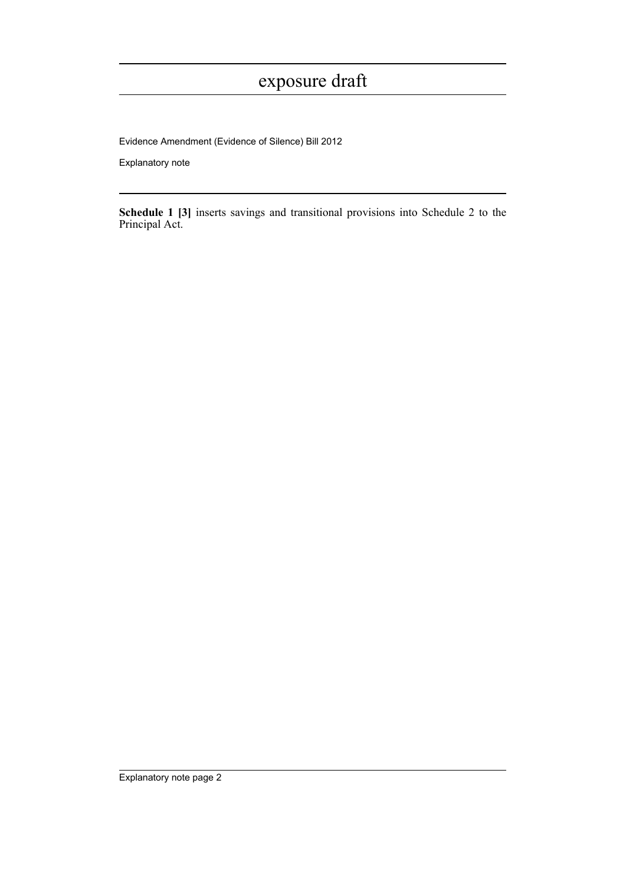Evidence Amendment (Evidence of Silence) Bill 2012

Explanatory note

**Schedule 1 [3]** inserts savings and transitional provisions into Schedule 2 to the Principal Act.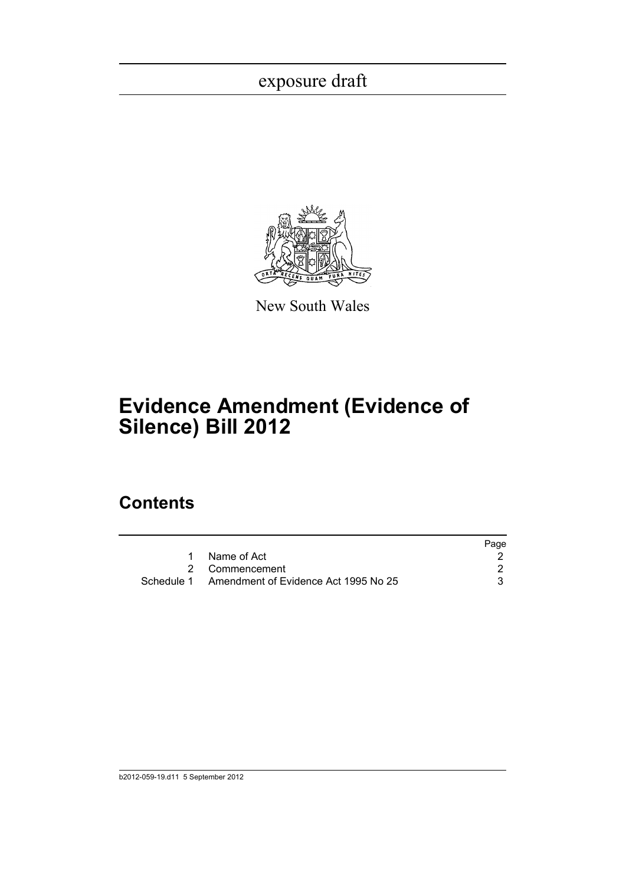

New South Wales

## **Evidence Amendment (Evidence of Silence) Bill 2012**

### **Contents**

|                                                 | Page |
|-------------------------------------------------|------|
| Name of Act                                     |      |
| 2 Commencement                                  |      |
| Schedule 1 Amendment of Evidence Act 1995 No 25 |      |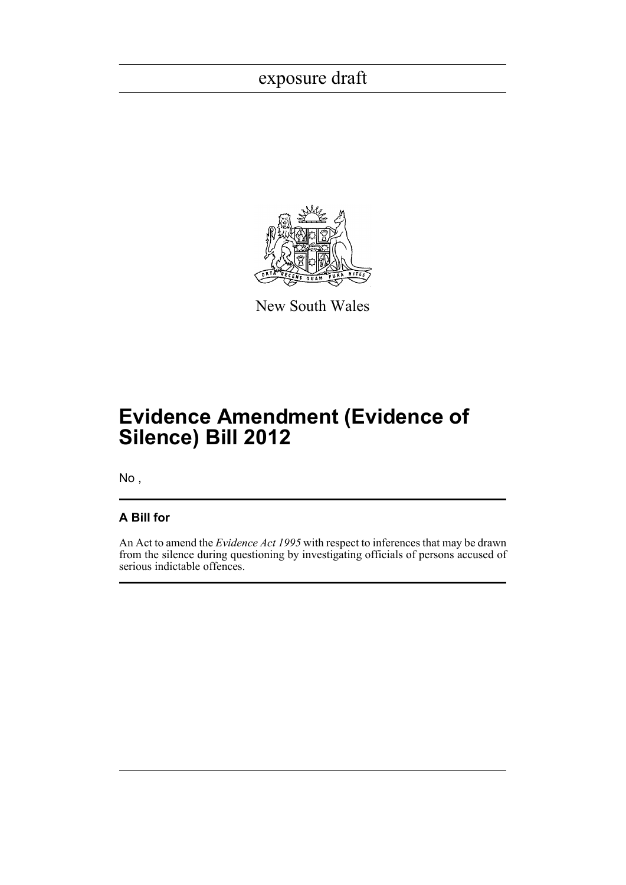

New South Wales

## **Evidence Amendment (Evidence of Silence) Bill 2012**

No ,

#### **A Bill for**

An Act to amend the *Evidence Act 1995* with respect to inferences that may be drawn from the silence during questioning by investigating officials of persons accused of serious indictable offences.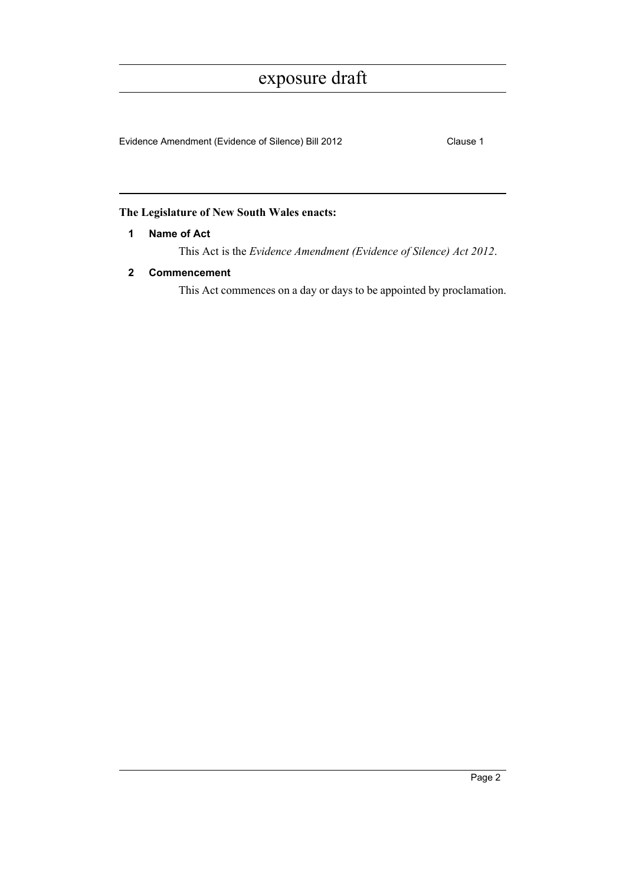Evidence Amendment (Evidence of Silence) Bill 2012 Clause 1

#### <span id="page-4-0"></span>**The Legislature of New South Wales enacts:**

#### **1 Name of Act**

This Act is the *Evidence Amendment (Evidence of Silence) Act 2012*.

#### <span id="page-4-1"></span>**2 Commencement**

This Act commences on a day or days to be appointed by proclamation.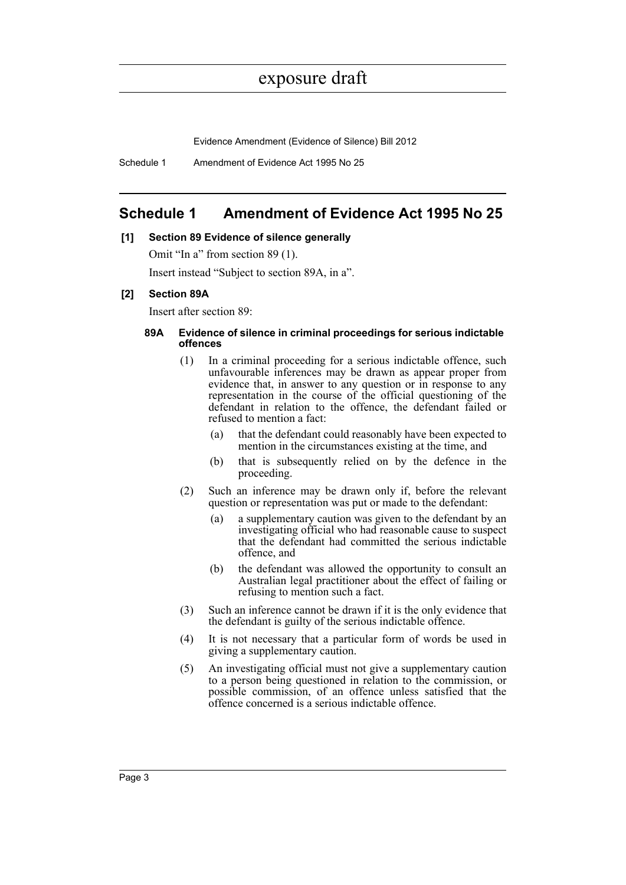Evidence Amendment (Evidence of Silence) Bill 2012

Schedule 1 Amendment of Evidence Act 1995 No 25

#### <span id="page-5-0"></span>**Schedule 1 Amendment of Evidence Act 1995 No 25**

#### **[1] Section 89 Evidence of silence generally**

Omit "In a" from section 89 (1).

Insert instead "Subject to section 89A, in a".

#### **[2] Section 89A**

Insert after section 89:

#### **89A Evidence of silence in criminal proceedings for serious indictable offences**

- (1) In a criminal proceeding for a serious indictable offence, such unfavourable inferences may be drawn as appear proper from evidence that, in answer to any question or in response to any representation in the course of the official questioning of the defendant in relation to the offence, the defendant failed or refused to mention a fact:
	- (a) that the defendant could reasonably have been expected to mention in the circumstances existing at the time, and
	- (b) that is subsequently relied on by the defence in the proceeding.
- (2) Such an inference may be drawn only if, before the relevant question or representation was put or made to the defendant:
	- (a) a supplementary caution was given to the defendant by an investigating official who had reasonable cause to suspect that the defendant had committed the serious indictable offence, and
	- (b) the defendant was allowed the opportunity to consult an Australian legal practitioner about the effect of failing or refusing to mention such a fact.
- (3) Such an inference cannot be drawn if it is the only evidence that the defendant is guilty of the serious indictable offence.
- (4) It is not necessary that a particular form of words be used in giving a supplementary caution.
- (5) An investigating official must not give a supplementary caution to a person being questioned in relation to the commission, or possible commission, of an offence unless satisfied that the offence concerned is a serious indictable offence.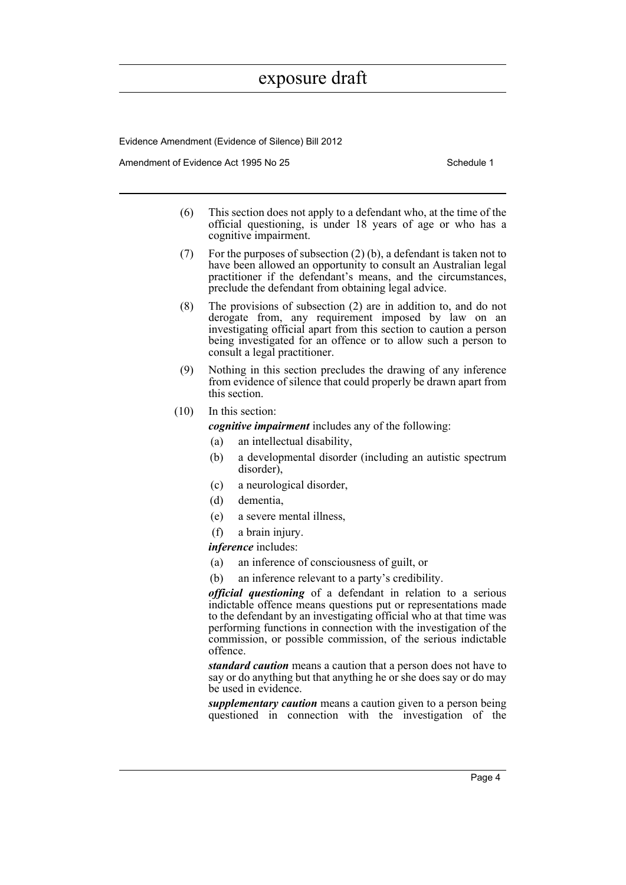Evidence Amendment (Evidence of Silence) Bill 2012

Amendment of Evidence Act 1995 No 25 Schedule 1

- (6) This section does not apply to a defendant who, at the time of the official questioning, is under 18 years of age or who has a cognitive impairment.
- (7) For the purposes of subsection (2) (b), a defendant is taken not to have been allowed an opportunity to consult an Australian legal practitioner if the defendant's means, and the circumstances, preclude the defendant from obtaining legal advice.
- (8) The provisions of subsection (2) are in addition to, and do not derogate from, any requirement imposed by law on an investigating official apart from this section to caution a person being investigated for an offence or to allow such a person to consult a legal practitioner.
- (9) Nothing in this section precludes the drawing of any inference from evidence of silence that could properly be drawn apart from this section.
- (10) In this section:

*cognitive impairment* includes any of the following:

- (a) an intellectual disability,
- (b) a developmental disorder (including an autistic spectrum disorder),
- (c) a neurological disorder,
- (d) dementia,
- (e) a severe mental illness,
- (f) a brain injury.

*inference* includes:

- (a) an inference of consciousness of guilt, or
- (b) an inference relevant to a party's credibility.

*official questioning* of a defendant in relation to a serious indictable offence means questions put or representations made to the defendant by an investigating official who at that time was performing functions in connection with the investigation of the commission, or possible commission, of the serious indictable offence.

*standard caution* means a caution that a person does not have to say or do anything but that anything he or she does say or do may be used in evidence.

*supplementary caution* means a caution given to a person being questioned in connection with the investigation of the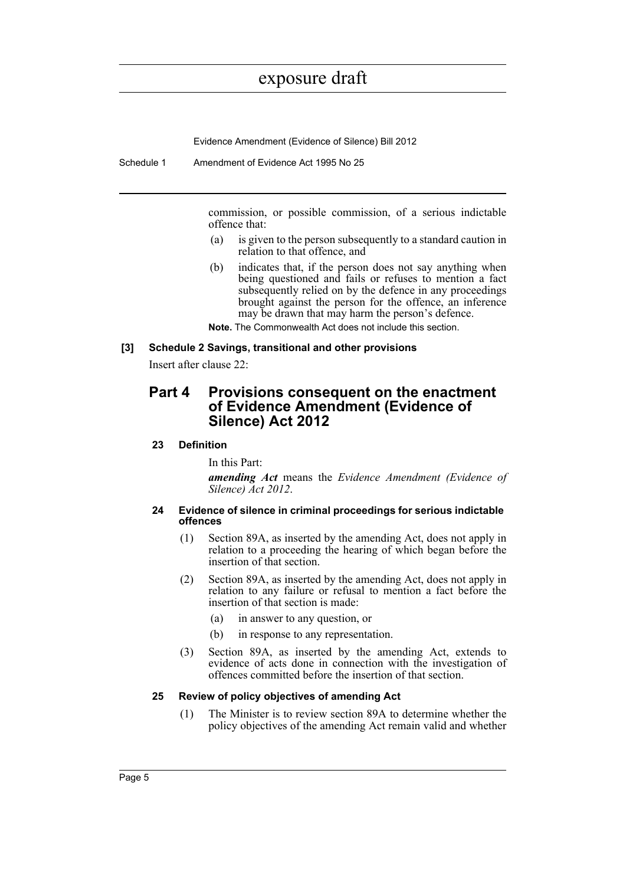Evidence Amendment (Evidence of Silence) Bill 2012

Schedule 1 Amendment of Evidence Act 1995 No 25

commission, or possible commission, of a serious indictable offence that:

- (a) is given to the person subsequently to a standard caution in relation to that offence, and
- (b) indicates that, if the person does not say anything when being questioned and fails or refuses to mention a fact subsequently relied on by the defence in any proceedings brought against the person for the offence, an inference may be drawn that may harm the person's defence.
- **Note.** The Commonwealth Act does not include this section.

#### **[3] Schedule 2 Savings, transitional and other provisions**

Insert after clause 22:

#### **Part 4 Provisions consequent on the enactment of Evidence Amendment (Evidence of Silence) Act 2012**

#### **23 Definition**

In this Part:

*amending Act* means the *Evidence Amendment (Evidence of Silence) Act 2012*.

#### **24 Evidence of silence in criminal proceedings for serious indictable offences**

- (1) Section 89A, as inserted by the amending Act, does not apply in relation to a proceeding the hearing of which began before the insertion of that section.
- (2) Section 89A, as inserted by the amending Act, does not apply in relation to any failure or refusal to mention a fact before the insertion of that section is made:
	- (a) in answer to any question, or
	- (b) in response to any representation.
- (3) Section 89A, as inserted by the amending Act, extends to evidence of acts done in connection with the investigation of offences committed before the insertion of that section.

#### **25 Review of policy objectives of amending Act**

(1) The Minister is to review section 89A to determine whether the policy objectives of the amending Act remain valid and whether